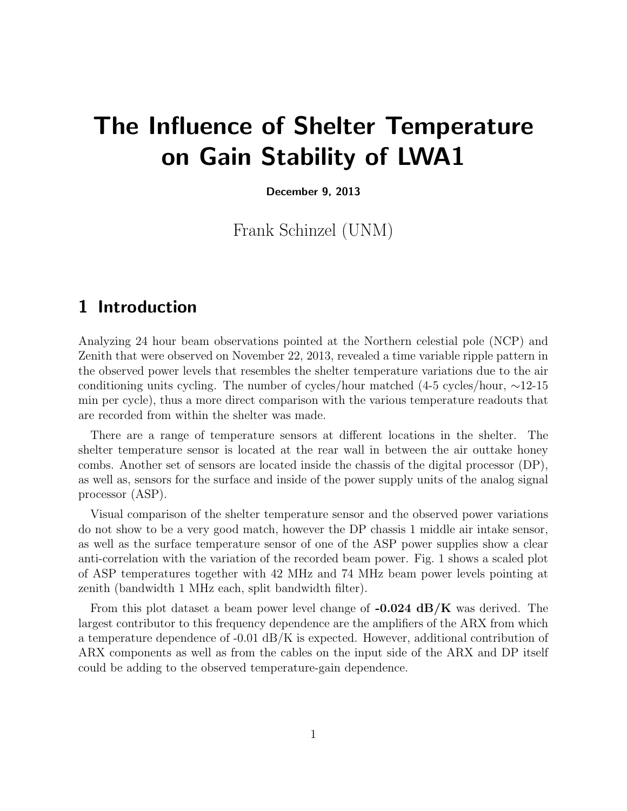# The Influence of Shelter Temperature on Gain Stability of LWA1

December 9, 2013

Frank Schinzel (UNM)

## 1 Introduction

Analyzing 24 hour beam observations pointed at the Northern celestial pole (NCP) and Zenith that were observed on November 22, 2013, revealed a time variable ripple pattern in the observed power levels that resembles the shelter temperature variations due to the air conditioning units cycling. The number of cycles/hour matched (4-5 cycles/hour, ∼12-15 min per cycle), thus a more direct comparison with the various temperature readouts that are recorded from within the shelter was made.

There are a range of temperature sensors at different locations in the shelter. The shelter temperature sensor is located at the rear wall in between the air outtake honey combs. Another set of sensors are located inside the chassis of the digital processor (DP), as well as, sensors for the surface and inside of the power supply units of the analog signal processor (ASP).

Visual comparison of the shelter temperature sensor and the observed power variations do not show to be a very good match, however the DP chassis 1 middle air intake sensor, as well as the surface temperature sensor of one of the ASP power supplies show a clear anti-correlation with the variation of the recorded beam power. Fig. 1 shows a scaled plot of ASP temperatures together with 42 MHz and 74 MHz beam power levels pointing at zenith (bandwidth 1 MHz each, split bandwidth filter).

From this plot dataset a beam power level change of  $-0.024$  dB/K was derived. The largest contributor to this frequency dependence are the amplifiers of the ARX from which a temperature dependence of  $-0.01$  dB/K is expected. However, additional contribution of ARX components as well as from the cables on the input side of the ARX and DP itself could be adding to the observed temperature-gain dependence.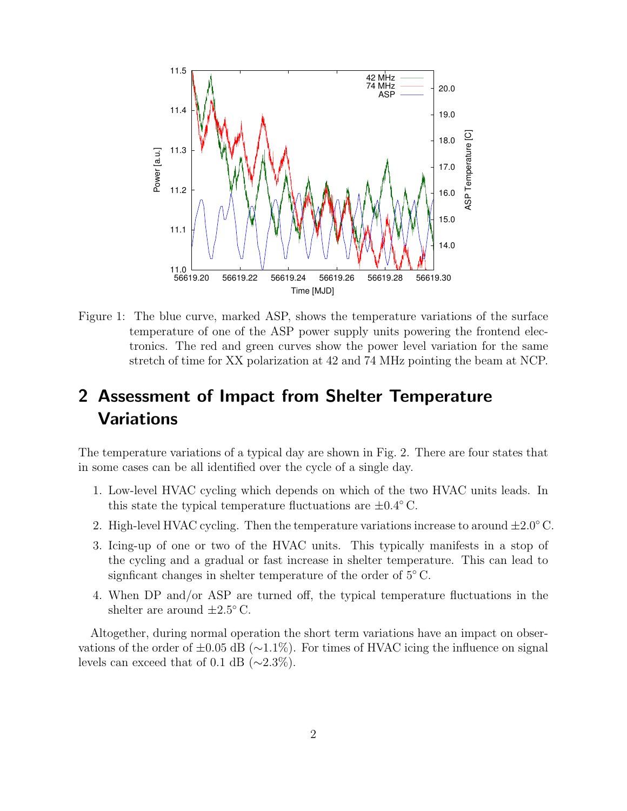

Figure 1: The blue curve, marked ASP, shows the temperature variations of the surface temperature of one of the ASP power supply units powering the frontend electronics. The red and green curves show the power level variation for the same stretch of time for XX polarization at 42 and 74 MHz pointing the beam at NCP.

# 2 Assessment of Impact from Shelter Temperature Variations

The temperature variations of a typical day are shown in Fig. 2. There are four states that in some cases can be all identified over the cycle of a single day.

- 1. Low-level HVAC cycling which depends on which of the two HVAC units leads. In this state the typical temperature fluctuations are  $\pm 0.4^{\circ}$  C.
- 2. High-level HVAC cycling. Then the temperature variations increase to around  $\pm 2.0^{\circ}$  C.
- 3. Icing-up of one or two of the HVAC units. This typically manifests in a stop of the cycling and a gradual or fast increase in shelter temperature. This can lead to signficant changes in shelter temperature of the order of  $5^{\circ}$  C.
- 4. When DP and/or ASP are turned off, the typical temperature fluctuations in the shelter are around  $\pm 2.5^{\circ}$  C.

Altogether, during normal operation the short term variations have an impact on observations of the order of  $\pm 0.05$  dB ( $\sim$ 1.1%). For times of HVAC icing the influence on signal levels can exceed that of 0.1 dB ( $\sim$ 2.3%).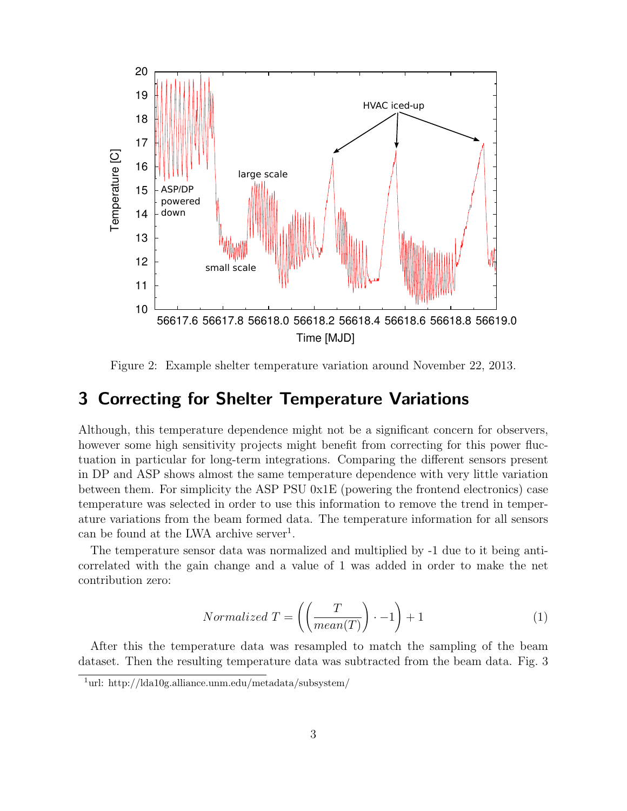

Figure 2: Example shelter temperature variation around November 22, 2013.

#### 3 Correcting for Shelter Temperature Variations

Although, this temperature dependence might not be a significant concern for observers, however some high sensitivity projects might benefit from correcting for this power fluctuation in particular for long-term integrations. Comparing the different sensors present in DP and ASP shows almost the same temperature dependence with very little variation between them. For simplicity the ASP PSU 0x1E (powering the frontend electronics) case temperature was selected in order to use this information to remove the trend in temperature variations from the beam formed data. The temperature information for all sensors can be found at the LWA archive server<sup>1</sup>.

The temperature sensor data was normalized and multiplied by -1 due to it being anticorrelated with the gain change and a value of 1 was added in order to make the net contribution zero:

$$
Normalized T = \left( \left( \frac{T}{mean(T)} \right) \cdot -1 \right) + 1 \tag{1}
$$

After this the temperature data was resampled to match the sampling of the beam dataset. Then the resulting temperature data was subtracted from the beam data. Fig. 3

<sup>1</sup>url: http://lda10g.alliance.unm.edu/metadata/subsystem/